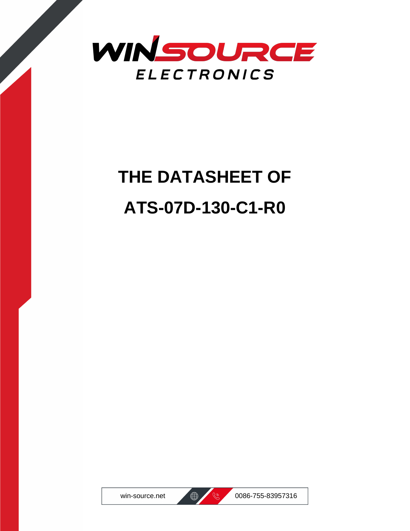

# **THE DATASHEET OF ATS-07D-130-C1-R0**





win-source.net  $\bigoplus$   $\bigotimes$  0086-755-83957316